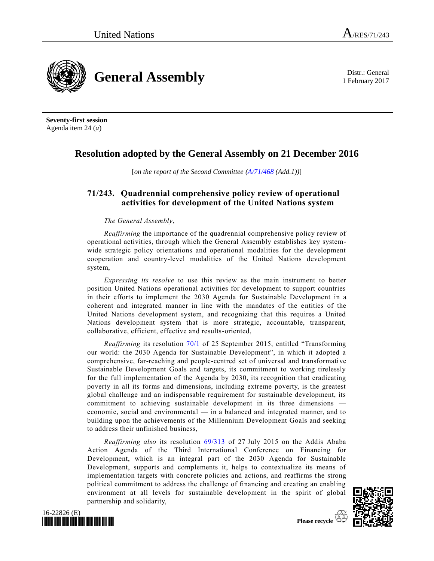1 February 2017



**Seventy-first session** Agenda item 24 (*a*)

# **Resolution adopted by the General Assembly on 21 December 2016**

[*on the report of the Second Committee [\(A/71/468](http://undocs.org/A/71/468) (Add.1))*]

## **71/243. Quadrennial comprehensive policy review of operational activities for development of the United Nations system**

## *The General Assembly*,

*Reaffirming* the importance of the quadrennial comprehensive policy review of operational activities, through which the General Assembly establishes key systemwide strategic policy orientations and operational modalities for the development cooperation and country-level modalities of the United Nations development system,

*Expressing its resolve* to use this review as the main instrument to better position United Nations operational activities for development to support countries in their efforts to implement the 2030 Agenda for Sustainable Development in a coherent and integrated manner in line with the mandates of the entities of the United Nations development system, and recognizing that this requires a United Nations development system that is more strategic, accountable, transparent, collaborative, efficient, effective and results-oriented,

*Reaffirming* its resolution [70/1](http://undocs.org/A/RES/70/1) of 25 September 2015, entitled "Transforming our world: the 2030 Agenda for Sustainable Development", in which it adopted a comprehensive, far-reaching and people-centred set of universal and transformative Sustainable Development Goals and targets, its commitment to working tirelessly for the full implementation of the Agenda by 2030, its recognition that eradicating poverty in all its forms and dimensions, including extreme poverty, is the greatest global challenge and an indispensable requirement for sustainable development, its commitment to achieving sustainable development in its three dimensions – economic, social and environmental — in a balanced and integrated manner, and to building upon the achievements of the Millennium Development Goals and seeking to address their unfinished business,

*Reaffirming also* its resolution [69/313](http://undocs.org/A/RES/69/313) of 27 July 2015 on the Addis Ababa Action Agenda of the Third International Conference on Financing for Development, which is an integral part of the 2030 Agenda for Sustainable Development, supports and complements it, helps to contextualize its means of implementation targets with concrete policies and actions, and reaffirms the strong political commitment to address the challenge of financing and creating an enabling environment at all levels for sustainable development in the spirit of global partnership and solidarity,



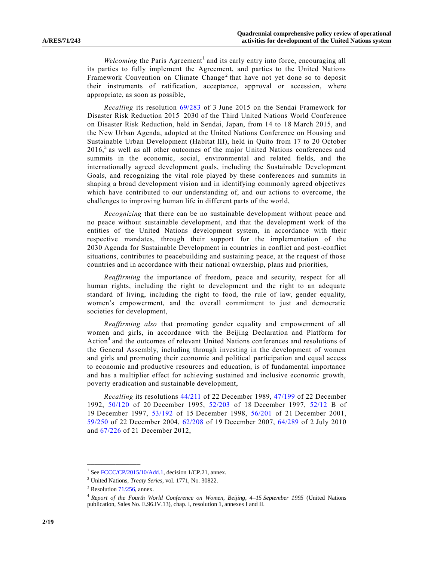Welcoming the Paris Agreement<sup>1</sup> and its early entry into force, encouraging all its parties to fully implement the Agreement, and parties to the United Nations Framework Convention on Climate Change<sup>2</sup> that have not yet done so to deposit their instruments of ratification, acceptance, approval or accession, where appropriate, as soon as possible,

*Recalling* its resolution [69/283](http://undocs.org/A/RES/69/283) of 3 June 2015 on the Sendai Framework for Disaster Risk Reduction 2015–2030 of the Third United Nations World Conference on Disaster Risk Reduction, held in Sendai, Japan, from 14 to 18 March 2015, and the New Urban Agenda, adopted at the United Nations Conference on Housing and Sustainable Urban Development (Habitat III), held in Quito from 17 to 20 October  $2016$ ,<sup>3</sup> as well as all other outcomes of the major United Nations conferences and summits in the economic, social, environmental and related fields, and the internationally agreed development goals, including the Sustainable Development Goals, and recognizing the vital role played by these conferences and summits in shaping a broad development vision and in identifying commonly agreed objectives which have contributed to our understanding of, and our actions to overcome, the challenges to improving human life in different parts of the world,

*Recognizing* that there can be no sustainable development without peace and no peace without sustainable development, and that the development work of the entities of the United Nations development system, in accordance with their respective mandates, through their support for the implementation of the 2030 Agenda for Sustainable Development in countries in conflict and post-conflict situations, contributes to peacebuilding and sustaining peace, at the request of those countries and in accordance with their national ownership, plans and priorities,

*Reaffirming* the importance of freedom, peace and security, respect for all human rights, including the right to development and the right to an adequate standard of living, including the right to food, the rule of law, gender equality, women's empowerment, and the overall commitment to just and democratic societies for development,

*Reaffirming also* that promoting gender equality and empowerment of all women and girls, in accordance with the Beijing Declaration and Platform for Action<sup>4</sup> and the outcomes of relevant United Nations conferences and resolutions of the General Assembly, including through investing in the development of women and girls and promoting their economic and political participation and equal access to economic and productive resources and education, is of fundamental importance and has a multiplier effect for achieving sustained and inclusive economic growth, poverty eradication and sustainable development,

*Recalling* its resolutions [44/211](http://undocs.org/A/RES/44/211) of 22 December 1989, [47/199](http://undocs.org/A/RES/47/199) of 22 December 1992, [50/120](http://undocs.org/A/RES/50/120) of 20 December 1995, [52/203](http://undocs.org/A/RES/52/203) of 18 December 1997, [52/12](http://undocs.org/A/RES/52/12) B of 19 December 1997, [53/192](http://undocs.org/A/RES/53/192) of 15 December 1998, [56/201](http://undocs.org/A/RES/56/201) of 21 December 2001, [59/250](http://undocs.org/A/RES/59/250) of 22 December 2004, [62/208](http://undocs.org/A/RES/62/208) of 19 December 2007, [64/289](http://undocs.org/A/RES/64/289) of 2 July 2010 and [67/226](http://undocs.org/A/RES/67/226) of 21 December 2012,

<sup>&</sup>lt;sup>1</sup> Se[e FCCC/CP/2015/10/Add.1,](http://undocs.org/FCCC/CP/2015/10/Add.1) decision 1/CP.21, annex.

<sup>2</sup> United Nations, *Treaty Series*, vol. 1771, No. 30822.

 $3$  Resolution [71/256,](http://undocs.org/A/RES/71/256) annex.

<sup>4</sup> *Report of the Fourth World Conference on Women, Beijing, 4–15 September 1995* (United Nations publication, Sales No. E.96.IV.13), chap. I, resolution 1, annexes I and II.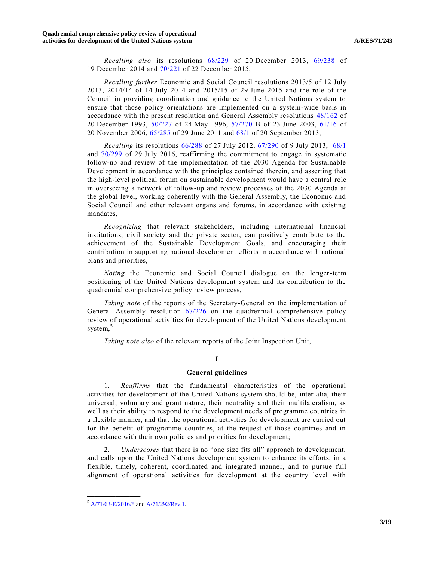*Recalling also* its resolutions [68/229](http://undocs.org/A/RES/68/229) of 20 December 2013, [69/238](http://undocs.org/A/RES/69/238) of 19 December 2014 and [70/221](http://undocs.org/A/RES/70/221) of 22 December 2015,

*Recalling further* Economic and Social Council resolutions 2013/5 of 12 July 2013, 2014/14 of 14 July 2014 and 2015/15 of 29 June 2015 and the role of the Council in providing coordination and guidance to the United Nations system to ensure that those policy orientations are implemented on a system-wide basis in accordance with the present resolution and General Assembly resolutions [48/162](http://undocs.org/A/RES/48/162) of 20 December 1993, [50/227](http://undocs.org/A/RES/50/227) of 24 May 1996, [57/270](http://undocs.org/A/RES/57/270) B of 23 June 2003, [61/16](http://undocs.org/A/RES/61/16) of 20 November 2006, [65/285](http://undocs.org/A/RES/65/285) of 29 June 2011 and [68/1](http://undocs.org/A/RES/68/1) of 20 September 2013,

*Recalling* its resolutions [66/288](http://undocs.org/A/RES/66/288) of 27 July 2012, [67/290](http://undocs.org/A/RES/67/290) of 9 July 2013, [68/1](http://undocs.org/A/RES/68/1) and [70/299](http://undocs.org/A/RES/70/299) of 29 July 2016, reaffirming the commitment to engage in systematic follow-up and review of the implementation of the 2030 Agenda for Sustainable Development in accordance with the principles contained therein, and asserting that the high-level political forum on sustainable development would have a central role in overseeing a network of follow-up and review processes of the 2030 Agenda at the global level, working coherently with the General Assembly, the Economic and Social Council and other relevant organs and forums, in accordance with existing mandates,

*Recognizing* that relevant stakeholders, including international financial institutions, civil society and the private sector, can positively contribute to the achievement of the Sustainable Development Goals, and encouraging their contribution in supporting national development efforts in accordance with national plans and priorities,

*Noting* the Economic and Social Council dialogue on the longer-term positioning of the United Nations development system and its contribution to the quadrennial comprehensive policy review process,

*Taking note* of the reports of the Secretary-General on the implementation of General Assembly resolution [67/226](http://undocs.org/A/RES/67/226) on the quadrennial comprehensive policy review of operational activities for development of the United Nations development system,<sup>5</sup>

*Taking note also* of the relevant reports of the Joint Inspection Unit,

## **I**

#### **General guidelines**

1. *Reaffirms* that the fundamental characteristics of the operational activities for development of the United Nations system should be, inter alia, their universal, voluntary and grant nature, their neutrality and their multilateralism, as well as their ability to respond to the development needs of programme countries in a flexible manner, and that the operational activities for development are carried out for the benefit of programme countries, at the request of those countries and in accordance with their own policies and priorities for development;

2. *Underscores* that there is no "one size fits all" approach to development, and calls upon the United Nations development system to enhance its efforts, in a flexible, timely, coherent, coordinated and integrated manner, and to pursue full alignment of operational activities for development at the country level with

<sup>5</sup> [A/71/63-E/2016/8](http://undocs.org/A/71/63) an[d A/71/292/Rev.1.](http://undocs.org/A/71/292/Rev.1)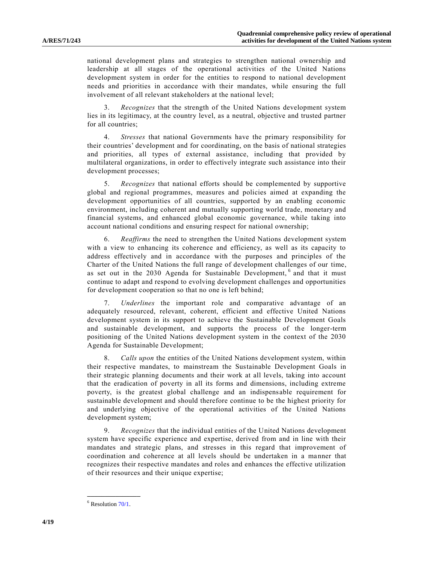national development plans and strategies to strengthen national ownership and leadership at all stages of the operational activities of the United Nations development system in order for the entities to respond to national development needs and priorities in accordance with their mandates, while ensuring the full involvement of all relevant stakeholders at the national level;

3. *Recognizes* that the strength of the United Nations development system lies in its legitimacy, at the country level, as a neutral, objective and trusted partner for all countries;

4. *Stresses* that national Governments have the primary responsibility for their countries' development and for coordinating, on the basis of national strategies and priorities, all types of external assistance, including that provided by multilateral organizations, in order to effectively integrate such assistance into their development processes;

5. *Recognizes* that national efforts should be complemented by supportive global and regional programmes, measures and policies aimed at expanding the development opportunities of all countries, supported by an enabling economic environment, including coherent and mutually supporting world trade, monetary and financial systems, and enhanced global economic governance, while taking into account national conditions and ensuring respect for national ownership;

6. *Reaffirms* the need to strengthen the United Nations development system with a view to enhancing its coherence and efficiency, as well as its capacity to address effectively and in accordance with the purposes and principles of the Charter of the United Nations the full range of development challenges of our time, as set out in the 2030 Agenda for Sustainable Development, <sup>6</sup> and that it must continue to adapt and respond to evolving development challenges and opportunities for development cooperation so that no one is left behind;

7. *Underlines* the important role and comparative advantage of an adequately resourced, relevant, coherent, efficient and effective United Nations development system in its support to achieve the Sustainable Development Goals and sustainable development, and supports the process of the longer-term positioning of the United Nations development system in the context of the 2030 Agenda for Sustainable Development;

8. *Calls upon* the entities of the United Nations development system, within their respective mandates, to mainstream the Sustainable Development Goals in their strategic planning documents and their work at all levels, taking into account that the eradication of poverty in all its forms and dimensions, including extreme poverty, is the greatest global challenge and an indispensable requirement for sustainable development and should therefore continue to be the highest priority for and underlying objective of the operational activities of the United Nations development system;

9. *Recognizes* that the individual entities of the United Nations development system have specific experience and expertise, derived from and in line with their mandates and strategic plans, and stresses in this regard that improvement of coordination and coherence at all levels should be undertaken in a manner that recognizes their respective mandates and roles and enhances the effective utilization of their resources and their unique expertise;

 $6$  Resolution  $70/1$ .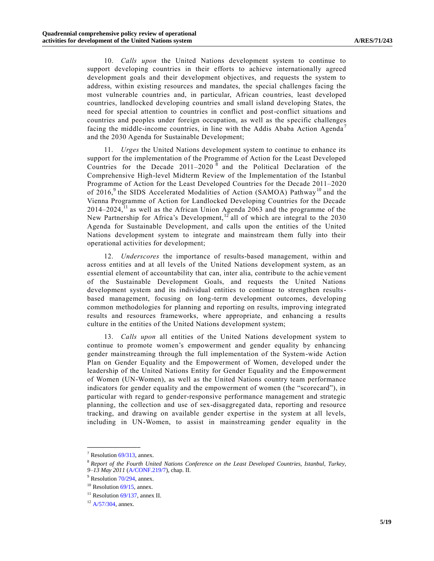10. *Calls upon* the United Nations development system to continue to support developing countries in their efforts to achieve internationally agreed development goals and their development objectives, and requests the system to address, within existing resources and mandates, the special challenges facing the most vulnerable countries and, in particular, African countries, least developed countries, landlocked developing countries and small island developing States, the need for special attention to countries in conflict and post-conflict situations and countries and peoples under foreign occupation, as well as the specific challenges facing the middle-income countries, in line with the Addis Ababa Action Agenda<sup>7</sup> and the 2030 Agenda for Sustainable Development;

11. *Urges* the United Nations development system to continue to enhance its support for the implementation of the Programme of Action for the Least Developed Countries for the Decade  $2011-2020$ <sup>8</sup> and the Political Declaration of the Comprehensive High-level Midterm Review of the Implementation of the Istanbul Programme of Action for the Least Developed Countries for the Decade 2011–2020 of  $2016$ ,<sup>9</sup> the SIDS Accelerated Modalities of Action (SAMOA) Pathway<sup>10</sup> and the Vienna Programme of Action for Landlocked Developing Countries for the Decade  $2014-2024$ ,<sup>11</sup> as well as the African Union Agenda 2063 and the programme of the New Partnership for Africa's Development,  $12$  all of which are integral to the 2030 Agenda for Sustainable Development, and calls upon the entities of the United Nations development system to integrate and mainstream them fully into their operational activities for development;

12. *Underscores* the importance of results-based management, within and across entities and at all levels of the United Nations development system, as an essential element of accountability that can, inter alia, contribute to the achie vement of the Sustainable Development Goals, and requests the United Nations development system and its individual entities to continue to strengthen resultsbased management, focusing on long-term development outcomes, developing common methodologies for planning and reporting on results, improving integrated results and resources frameworks, where appropriate, and enhancing a results culture in the entities of the United Nations development system;

13. *Calls upon* all entities of the United Nations development system to continue to promote women's empowerment and gender equality by enhancing gender mainstreaming through the full implementation of the System-wide Action Plan on Gender Equality and the Empowerment of Women, developed under the leadership of the United Nations Entity for Gender Equality and the Empowerment of Women (UN-Women), as well as the United Nations country team performance indicators for gender equality and the empowerment of women (the "scorecard"), in particular with regard to gender-responsive performance management and strategic planning, the collection and use of sex-disaggregated data, reporting and resource tracking, and drawing on available gender expertise in the system at all levels, including in UN-Women, to assist in mainstreaming gender equality in the

 $7$  Resolution  $69/313$ , annex.

<sup>8</sup> *Report of the Fourth United Nations Conference on the Least Developed Countries, Istanbul, Turkey, 9–13 May 2011* [\(A/CONF.219/7\)](http://undocs.org/A/CONF.219/7), chap. II.

<sup>&</sup>lt;sup>9</sup> Resolution [70/294,](http://undocs.org/A/RES/70/294) annex.

 $10$  Resolutio[n 69/15,](http://undocs.org/A/RES/69/15) annex.

 $11$  Resolutio[n 69/137,](http://undocs.org/A/RES/69/137) annex II.

 $12$  [A/57/304,](http://undocs.org/A/57/304) annex.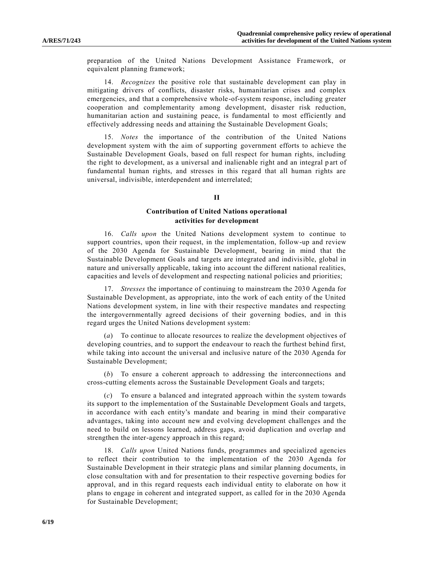preparation of the United Nations Development Assistance Framework, or equivalent planning framework;

14. *Recognizes* the positive role that sustainable development can play in mitigating drivers of conflicts, disaster risks, humanitarian crises and complex emergencies, and that a comprehensive whole-of-system response, including greater cooperation and complementarity among development, disaster risk reduction, humanitarian action and sustaining peace, is fundamental to most efficiently and effectively addressing needs and attaining the Sustainable Development Goals;

15. *Notes* the importance of the contribution of the United Nations development system with the aim of supporting government efforts to achieve the Sustainable Development Goals, based on full respect for human rights, including the right to development, as a universal and inalienable right and an integral p art of fundamental human rights, and stresses in this regard that all human rights are universal, indivisible, interdependent and interrelated;

#### **II**

## **Contribution of United Nations operational activities for development**

16. *Calls upon* the United Nations development system to continue to support countries, upon their request, in the implementation, follow-up and review of the 2030 Agenda for Sustainable Development, bearing in mind that the Sustainable Development Goals and targets are integrated and indivisible, global in nature and universally applicable, taking into account the different national realities, capacities and levels of development and respecting national policies and priorities;

17. *Stresses* the importance of continuing to mainstream the 2030 Agenda for Sustainable Development, as appropriate, into the work of each entity of the United Nations development system, in line with their respective mandates and respecting the intergovernmentally agreed decisions of their governing bodies, and in this regard urges the United Nations development system:

(*a*) To continue to allocate resources to realize the development objectives of developing countries, and to support the endeavour to reach the furthest behind first, while taking into account the universal and inclusive nature of the 2030 Agenda for Sustainable Development;

(*b*) To ensure a coherent approach to addressing the interconnections and cross-cutting elements across the Sustainable Development Goals and targets;

(*c*) To ensure a balanced and integrated approach within the system towards its support to the implementation of the Sustainable Development Goals and targets, in accordance with each entity's mandate and bearing in mind their comparative advantages, taking into account new and evolving development challenges and the need to build on lessons learned, address gaps, avoid duplication and overlap and strengthen the inter-agency approach in this regard;

18. *Calls upon* United Nations funds, programmes and specialized agencies to reflect their contribution to the implementation of the 2030 Agenda for Sustainable Development in their strategic plans and similar planning documents, in close consultation with and for presentation to their respective governing bodies for approval, and in this regard requests each individual entity to elaborate on how it plans to engage in coherent and integrated support, as called for in the 2030 Agenda for Sustainable Development;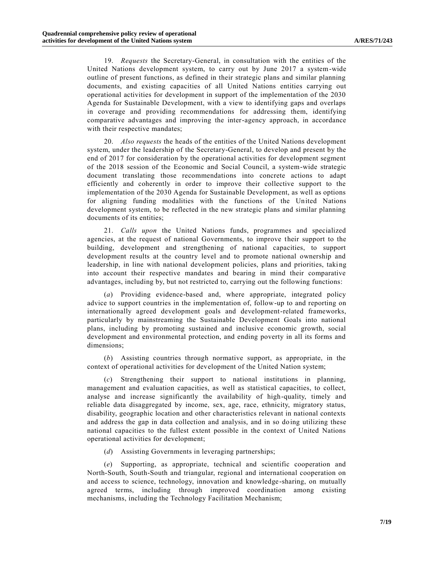19. *Requests* the Secretary-General, in consultation with the entities of the United Nations development system, to carry out by June 2017 a system-wide outline of present functions, as defined in their strategic plans and similar planning documents, and existing capacities of all United Nations entities carrying out operational activities for development in support of the implementation of the 2030 Agenda for Sustainable Development, with a view to identifying gaps and overlaps in coverage and providing recommendations for addressing them, identifying comparative advantages and improving the inter-agency approach, in accordance with their respective mandates;

20. *Also requests* the heads of the entities of the United Nations development system, under the leadership of the Secretary-General, to develop and present by the end of 2017 for consideration by the operational activities for development segment of the 2018 session of the Economic and Social Council, a system-wide strategic document translating those recommendations into concrete actions to adapt efficiently and coherently in order to improve their collective support to the implementation of the 2030 Agenda for Sustainable Development, as well as options for aligning funding modalities with the functions of the United Nations development system, to be reflected in the new strategic plans and similar planning documents of its entities;

21. *Calls upon* the United Nations funds, programmes and specialized agencies, at the request of national Governments, to improve their support to the building, development and strengthening of national capacities, to support development results at the country level and to promote national ownership and leadership, in line with national development policies, plans and priorities, taking into account their respective mandates and bearing in mind their comparative advantages, including by, but not restricted to, carrying out the following functions:

(*a*) Providing evidence-based and, where appropriate, integrated policy advice to support countries in the implementation of, follow-up to and reporting on internationally agreed development goals and development-related frameworks, particularly by mainstreaming the Sustainable Development Goals into national plans, including by promoting sustained and inclusive economic growth, social development and environmental protection, and ending poverty in all its forms and dimensions;

(*b*) Assisting countries through normative support, as appropriate, in the context of operational activities for development of the United Nation system;

Strengthening their support to national institutions in planning, management and evaluation capacities, as well as statistical capacities, to collect, analyse and increase significantly the availability of high-quality, timely and reliable data disaggregated by income, sex, age, race, ethnicity, migratory status, disability, geographic location and other characteristics relevant in national contexts and address the gap in data collection and analysis, and in so doing utilizing these national capacities to the fullest extent possible in the context of United Nations operational activities for development;

(*d*) Assisting Governments in leveraging partnerships;

(*e*) Supporting, as appropriate, technical and scientific cooperation and North-South, South-South and triangular, regional and international cooperation on and access to science, technology, innovation and knowledge -sharing, on mutually agreed terms, including through improved coordination among existing mechanisms, including the Technology Facilitation Mechanism;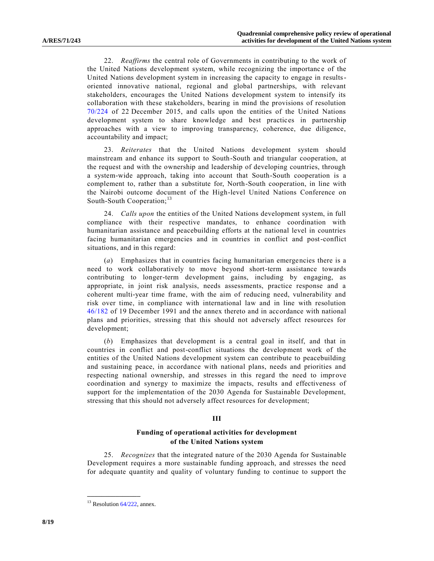22. *Reaffirms* the central role of Governments in contributing to the work of the United Nations development system, while recognizing the importanc e of the United Nations development system in increasing the capacity to engage in resultsoriented innovative national, regional and global partnerships, with relevant stakeholders, encourages the United Nations development system to intensify its collaboration with these stakeholders, bearing in mind the provisions of resolution [70/224](http://undocs.org/A/RES/70/224) of 22 December 2015, and calls upon the entities of the United Nations development system to share knowledge and best practices in partnership approaches with a view to improving transparency, coherence, due diligence, accountability and impact;

23. *Reiterates* that the United Nations development system should mainstream and enhance its support to South-South and triangular cooperation, at the request and with the ownership and leadership of developing countries, through a system-wide approach, taking into account that South-South cooperation is a complement to, rather than a substitute for, North-South cooperation, in line with the Nairobi outcome document of the High-level United Nations Conference on South-South Cooperation;<sup>13</sup>

24. *Calls upon* the entities of the United Nations development system, in full compliance with their respective mandates, to enhance coordination with humanitarian assistance and peacebuilding efforts at the national level in countries facing humanitarian emergencies and in countries in conflict and post-conflict situations, and in this regard:

(*a*) Emphasizes that in countries facing humanitarian emergencies there is a need to work collaboratively to move beyond short-term assistance towards contributing to longer-term development gains, including by engaging, as appropriate, in joint risk analysis, needs assessments, practice response and a coherent multi-year time frame, with the aim of reducing need, vulnerability and risk over time, in compliance with international law and in line with resolution [46/182](http://undocs.org/A/RES/46/182) of 19 December 1991 and the annex thereto and in accordance with national plans and priorities, stressing that this should not adversely affect resources for development;

(*b*) Emphasizes that development is a central goal in itself, and that in countries in conflict and post-conflict situations the development work of the entities of the United Nations development system can contribute to peacebuilding and sustaining peace, in accordance with national plans, needs and priorities and respecting national ownership, and stresses in this regard the need to improve coordination and synergy to maximize the impacts, results and effectiveness of support for the implementation of the 2030 Agenda for Sustainable Development, stressing that this should not adversely affect resources for development;

#### **III**

### **Funding of operational activities for development of the United Nations system**

25. *Recognizes* that the integrated nature of the 2030 Agenda for Sustainable Development requires a more sustainable funding approach, and stresses the need for adequate quantity and quality of voluntary funding to continue to support the

 $13$  Resolution  $64/222$ , annex.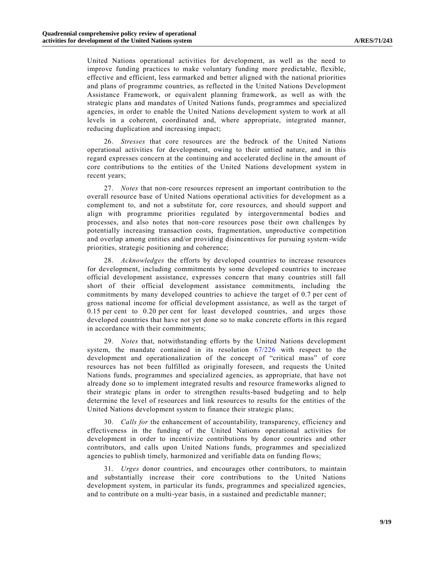United Nations operational activities for development, as well as the need to improve funding practices to make voluntary funding more predictable, flexible, effective and efficient, less earmarked and better aligned with the national priorities and plans of programme countries, as reflected in the United Nations Development Assistance Framework, or equivalent planning framework, as well as with the strategic plans and mandates of United Nations funds, programmes and specialized agencies, in order to enable the United Nations development system to work at all levels in a coherent, coordinated and, where appropriate, integrated manner, reducing duplication and increasing impact;

26. *Stresses* that core resources are the bedrock of the United Nations operational activities for development, owing to their untied nature, and in this regard expresses concern at the continuing and accelerated decline in the amount of core contributions to the entities of the United Nations development system in recent years;

27. *Notes* that non-core resources represent an important contribution to the overall resource base of United Nations operational activities for development as a complement to, and not a substitute for, core resources, and should support and align with programme priorities regulated by intergovernmental bodies and processes, and also notes that non-core resources pose their own challenges by potentially increasing transaction costs, fragmentation, unproductive competition and overlap among entities and/or providing disincentives for pursuing system-wide priorities, strategic positioning and coherence;

28. *Acknowledges* the efforts by developed countries to increase resources for development, including commitments by some developed countries to increase official development assistance, expresses concern that many countries still fall short of their official development assistance commitments, including the commitments by many developed countries to achieve the target of 0.7 per cent of gross national income for official development assistance, as well as the target of 0.15 per cent to 0.20 per cent for least developed countries, and urges those developed countries that have not yet done so to make concrete efforts in this regard in accordance with their commitments;

29. *Notes* that, notwithstanding efforts by the United Nations development system, the mandate contained in its resolution [67/226](http://undocs.org/A/RES/67/226) with respect to the development and operationalization of the concept of "critical mass" of core resources has not been fulfilled as originally foreseen, and requests the United Nations funds, programmes and specialized agencies, as appropriate, that have not already done so to implement integrated results and resource frameworks aligned to their strategic plans in order to strengthen results-based budgeting and to help determine the level of resources and link resources to results for the entities of the United Nations development system to finance their strategic plans;

30. *Calls for* the enhancement of accountability, transparency, efficiency and effectiveness in the funding of the United Nations operational activities for development in order to incentivize contributions by donor countries and other contributors, and calls upon United Nations funds, programmes and specialized agencies to publish timely, harmonized and verifiable data on funding flows;

31. *Urges* donor countries, and encourages other contributors, to maintain and substantially increase their core contributions to the United Nations development system, in particular its funds, programmes and specialized agencies, and to contribute on a multi-year basis, in a sustained and predictable manner;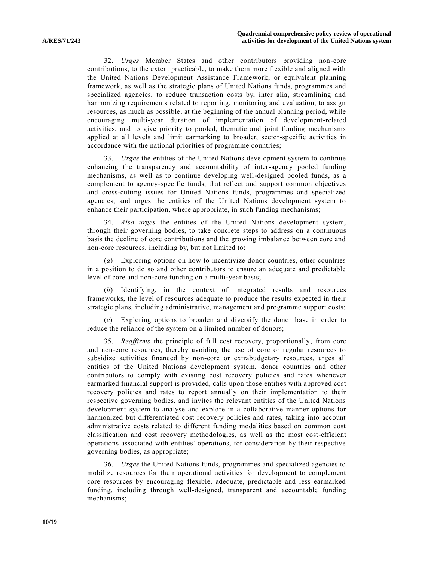32. *Urges* Member States and other contributors providing non-core contributions, to the extent practicable, to make them more flexible and aligned with the United Nations Development Assistance Framework, or equivalent planning framework, as well as the strategic plans of United Nations funds, programmes and specialized agencies, to reduce transaction costs by, inter alia, streamlining and harmonizing requirements related to reporting, monitoring and evaluation, to assign resources, as much as possible, at the beginning of the annual planning period, while encouraging multi-year duration of implementation of development-related activities, and to give priority to pooled, thematic and joint funding mechanisms applied at all levels and limit earmarking to broader, sector-specific activities in accordance with the national priorities of programme countries;

33. *Urges* the entities of the United Nations development system to continue enhancing the transparency and accountability of inter-agency pooled funding mechanisms, as well as to continue developing well-designed pooled funds, as a complement to agency-specific funds, that reflect and support common objectives and cross-cutting issues for United Nations funds, programmes and specialized agencies, and urges the entities of the United Nations development system to enhance their participation, where appropriate, in such funding mechanisms;

34. *Also urges* the entities of the United Nations development system, through their governing bodies, to take concrete steps to address on a continuous basis the decline of core contributions and the growing imbalance between core and non-core resources, including by, but not limited to:

(*a*) Exploring options on how to incentivize donor countries, other countries in a position to do so and other contributors to ensure an adequate and predictable level of core and non-core funding on a multi-year basis;

(*b*) Identifying, in the context of integrated results and resources frameworks, the level of resources adequate to produce the results expected in their strategic plans, including administrative, management and programme support costs;

(*c*) Exploring options to broaden and diversify the donor base in order to reduce the reliance of the system on a limited number of donors;

35. *Reaffirms* the principle of full cost recovery, proportionally, from core and non-core resources, thereby avoiding the use of core or regular resources to subsidize activities financed by non-core or extrabudgetary resources, urges all entities of the United Nations development system, donor countries and other contributors to comply with existing cost recovery policies and rates whenever earmarked financial support is provided, calls upon those entities with approved cost recovery policies and rates to report annually on their implementation to their respective governing bodies, and invites the relevant entities of the United Nations development system to analyse and explore in a collaborative manner options for harmonized but differentiated cost recovery policies and rates, taking into account administrative costs related to different funding modalities based on common cost classification and cost recovery methodologies, as well as the most cost-efficient operations associated with entities' operations, for consideration by their respective governing bodies, as appropriate;

36. *Urges* the United Nations funds, programmes and specialized agencies to mobilize resources for their operational activities for development to complement core resources by encouraging flexible, adequate, predictable and less earmarked funding, including through well-designed, transparent and accountable funding mechanisms;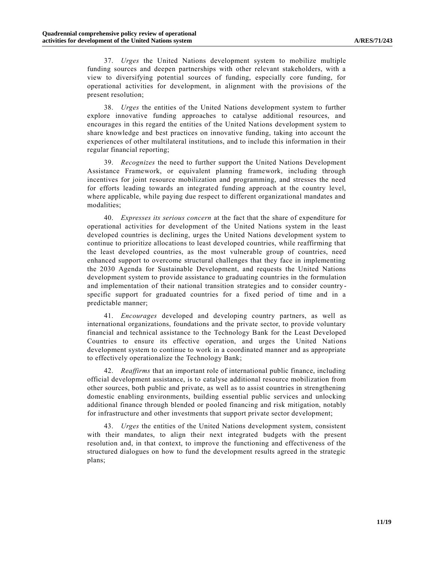37. *Urges* the United Nations development system to mobilize multiple funding sources and deepen partnerships with other relevant stakeholders, with a view to diversifying potential sources of funding, especially core funding, for operational activities for development, in alignment with the provisions of the present resolution;

38. *Urges* the entities of the United Nations development system to further explore innovative funding approaches to catalyse additional resources, and encourages in this regard the entities of the United Nations development system to share knowledge and best practices on innovative funding, taking into account the experiences of other multilateral institutions, and to include this information in their regular financial reporting;

39. *Recognizes* the need to further support the United Nations Development Assistance Framework, or equivalent planning framework, including through incentives for joint resource mobilization and programming, and stresses the need for efforts leading towards an integrated funding approach at the country level, where applicable, while paying due respect to different organizational mandates and modalities;

40. *Expresses its serious concern* at the fact that the share of expenditure for operational activities for development of the United Nations system in the least developed countries is declining, urges the United Nations development system to continue to prioritize allocations to least developed countries, while reaffirming that the least developed countries, as the most vulnerable group of countries, need enhanced support to overcome structural challenges that they face in implementing the 2030 Agenda for Sustainable Development, and requests the United Nations development system to provide assistance to graduating countries in the formulation and implementation of their national transition strategies and to consider countryspecific support for graduated countries for a fixed period of time and in a predictable manner;

41. *Encourages* developed and developing country partners, as well as international organizations, foundations and the private sector, to provide voluntary financial and technical assistance to the Technology Bank for the Least Developed Countries to ensure its effective operation, and urges the United Nations development system to continue to work in a coordinated manner and as appropriate to effectively operationalize the Technology Bank;

42. *Reaffirms* that an important role of international public finance, including official development assistance, is to catalyse additional resource mobilization from other sources, both public and private, as well as to assist countries in strengthening domestic enabling environments, building essential public services and unlocking additional finance through blended or pooled financing and risk mitigation, notably for infrastructure and other investments that support private sector development;

43. *Urges* the entities of the United Nations development system, consistent with their mandates, to align their next integrated budgets with the present resolution and, in that context, to improve the functioning and effectiveness of the structured dialogues on how to fund the development results agreed in the strategic plans;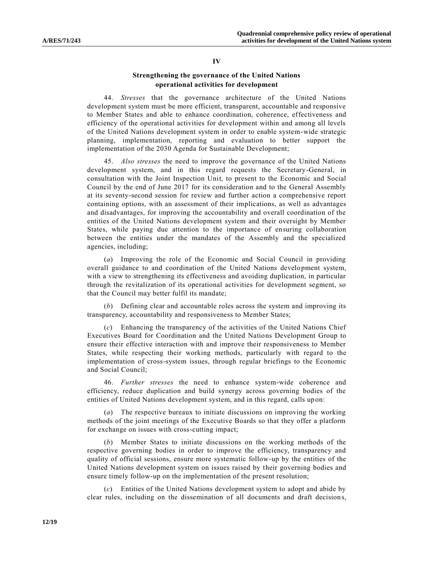#### **IV**

## **Strengthening the governance of the United Nations operational activities for development**

44. *Stresses* that the governance architecture of the United Nations development system must be more efficient, transparent, accountable and responsive to Member States and able to enhance coordination, coherence, effectiveness and efficiency of the operational activities for development within and among all levels of the United Nations development system in order to enable system-wide strategic planning, implementation, reporting and evaluation to better support the implementation of the 2030 Agenda for Sustainable Development;

45. *Also stresses* the need to improve the governance of the United Nations development system, and in this regard requests the Secretary-General, in consultation with the Joint Inspection Unit, to present to the Economic and Social Council by the end of June 2017 for its consideration and to the General Assembly at its seventy-second session for review and further action a comprehensive report containing options, with an assessment of their implications, as well as advantages and disadvantages, for improving the accountability and overall coordination of the entities of the United Nations development system and their oversight by Member States, while paying due attention to the importance of ensuring collaboration between the entities under the mandates of the Assembly and the specialized agencies, including;

(*a*) Improving the role of the Economic and Social Council in providing overall guidance to and coordination of the United Nations development system, with a view to strengthening its effectiveness and avoiding duplication, in particular through the revitalization of its operational activities for development segment, so that the Council may better fulfil its mandate;

(*b*) Defining clear and accountable roles across the system and improving its transparency, accountability and responsiveness to Member States;

(*c*) Enhancing the transparency of the activities of the United Nations Chief Executives Board for Coordination and the United Nations Development Group to ensure their effective interaction with and improve their responsiveness to Member States, while respecting their working methods, particularly with regard to the implementation of cross-system issues, through regular briefings to the Economic and Social Council;

46. *Further stresses* the need to enhance system-wide coherence and efficiency, reduce duplication and build synergy across governing bodies of the entities of United Nations development system, and in this regard, calls up on:

(*a*) The respective bureaux to initiate discussions on improving the working methods of the joint meetings of the Executive Boards so that they offer a platform for exchange on issues with cross-cutting impact;

(*b*) Member States to initiate discussions on the working methods of the respective governing bodies in order to improve the efficiency, transparency and quality of official sessions, ensure more systematic follow-up by the entities of the United Nations development system on issues raised by their governing bodies and ensure timely follow-up on the implementation of the present resolution;

(*c*) Entities of the United Nations development system to adopt and abide by clear rules, including on the dissemination of all documents and draft decisions,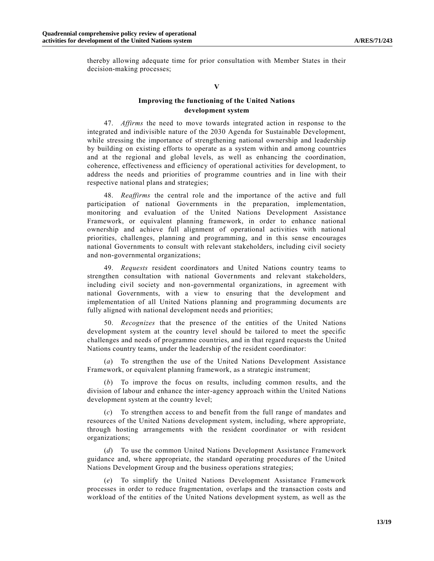thereby allowing adequate time for prior consultation with Member States in their decision-making processes;

#### **V**

## **Improving the functioning of the United Nations development system**

47. *Affirms* the need to move towards integrated action in response to the integrated and indivisible nature of the 2030 Agenda for Sustainable Development, while stressing the importance of strengthening national ownership and leadership by building on existing efforts to operate as a system within and among countries and at the regional and global levels, as well as enhancing the coordination, coherence, effectiveness and efficiency of operational activities for development, to address the needs and priorities of programme countries and in line with their respective national plans and strategies;

48. *Reaffirms* the central role and the importance of the active and full participation of national Governments in the preparation, implementation, monitoring and evaluation of the United Nations Development Assistance Framework, or equivalent planning framework, in order to enhance national ownership and achieve full alignment of operational activities with national priorities, challenges, planning and programming, and in this sense encourages national Governments to consult with relevant stakeholders, including civil society and non-governmental organizations;

49. *Requests* resident coordinators and United Nations country teams to strengthen consultation with national Governments and relevant stakeholders, including civil society and non-governmental organizations, in agreement with national Governments, with a view to ensuring that the development and implementation of all United Nations planning and programming documents a re fully aligned with national development needs and priorities;

50. *Recognizes* that the presence of the entities of the United Nations development system at the country level should be tailored to meet the specific challenges and needs of programme countries, and in that regard requests the United Nations country teams, under the leadership of the resident coordinator:

(*a*) To strengthen the use of the United Nations Development Assistance Framework, or equivalent planning framework, as a strategic instrument;

(*b*) To improve the focus on results, including common results, and the division of labour and enhance the inter-agency approach within the United Nations development system at the country level;

(*c*) To strengthen access to and benefit from the full range of mandates and resources of the United Nations development system, including, where appropriate, through hosting arrangements with the resident coordinator or with resident organizations;

(*d*) To use the common United Nations Development Assistance Framework guidance and, where appropriate, the standard operating procedures of the United Nations Development Group and the business operations strategies;

(*e*) To simplify the United Nations Development Assistance Framework processes in order to reduce fragmentation, overlaps and the transaction costs and workload of the entities of the United Nations development system, as well as the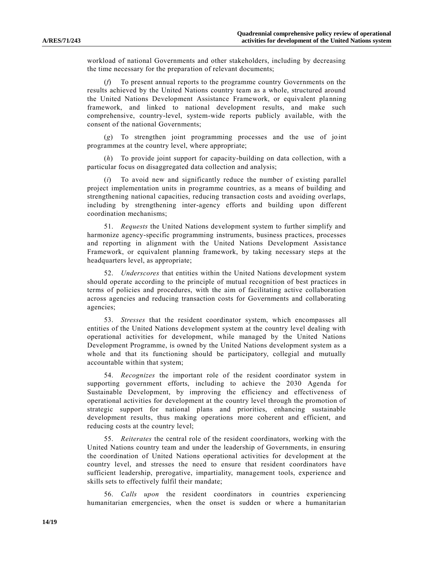workload of national Governments and other stakeholders, including by decreasing the time necessary for the preparation of relevant documents;

(*f*) To present annual reports to the programme country Governments on the results achieved by the United Nations country team as a whole, structured around the United Nations Development Assistance Framework, or equivalent planning framework, and linked to national development results, and make such comprehensive, country-level, system-wide reports publicly available, with the consent of the national Governments;

(*g*) To strengthen joint programming processes and the use of joint programmes at the country level, where appropriate;

(*h*) To provide joint support for capacity-building on data collection, with a particular focus on disaggregated data collection and analysis;

(*i*) To avoid new and significantly reduce the number of existing parallel project implementation units in programme countries, as a means of building and strengthening national capacities, reducing transaction costs and avoiding overlaps, including by strengthening inter-agency efforts and building upon different coordination mechanisms;

51. *Requests* the United Nations development system to further simplify and harmonize agency-specific programming instruments, business practices, processes and reporting in alignment with the United Nations Development Assistance Framework, or equivalent planning framework, by taking necessary steps at the headquarters level, as appropriate;

52. *Underscores* that entities within the United Nations development system should operate according to the principle of mutual recognition of best practices in terms of policies and procedures, with the aim of facilitating active collaboration across agencies and reducing transaction costs for Governments and collaborating agencies;

53. *Stresses* that the resident coordinator system, which encompasses all entities of the United Nations development system at the country level dealing with operational activities for development, while managed by the United Nations Development Programme, is owned by the United Nations development system as a whole and that its functioning should be participatory, collegial and mutually accountable within that system;

54. *Recognizes* the important role of the resident coordinator system in supporting government efforts, including to achieve the 2030 Agenda for Sustainable Development, by improving the efficiency and effectiveness of operational activities for development at the country level through the promotion of strategic support for national plans and priorities, enhancing sustainable development results, thus making operations more coherent and efficient, and reducing costs at the country level;

55. *Reiterates* the central role of the resident coordinators, working with the United Nations country team and under the leadership of Governments, in ensuring the coordination of United Nations operational activities for development at the country level, and stresses the need to ensure that resident coordinators have sufficient leadership, prerogative, impartiality, management tools, experience and skills sets to effectively fulfil their mandate;

56. *Calls upon* the resident coordinators in countries experiencing humanitarian emergencies, when the onset is sudden or where a humanitarian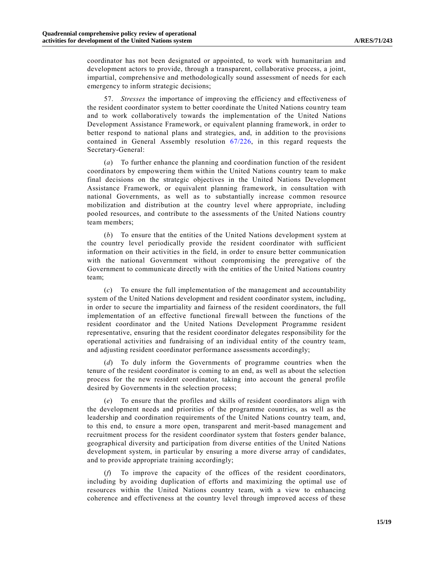coordinator has not been designated or appointed, to work with humanitarian and development actors to provide, through a transparent, collaborative process, a joint, impartial, comprehensive and methodologically sound assessment of needs for each emergency to inform strategic decisions;

57. *Stresses* the importance of improving the efficiency and effectiveness of the resident coordinator system to better coordinate the United Nations country team and to work collaboratively towards the implementation of the United Nations Development Assistance Framework, or equivalent planning framework, in order to better respond to national plans and strategies, and, in addition to the provisions contained in General Assembly resolution [67/226,](http://undocs.org/A/RES/67/226) in this regard requests the Secretary-General:

(*a*) To further enhance the planning and coordination function of the resident coordinators by empowering them within the United Nations country team to make final decisions on the strategic objectives in the United Nations Development Assistance Framework, or equivalent planning framework, in consultation with national Governments, as well as to substantially increase common resource mobilization and distribution at the country level where appropriate, including pooled resources, and contribute to the assessments of the United Nations country team members;

(*b*) To ensure that the entities of the United Nations development system at the country level periodically provide the resident coordinator with sufficient information on their activities in the field, in order to ensure better communication with the national Government without compromising the prerogative of the Government to communicate directly with the entities of the United Nations country team;

(*c*) To ensure the full implementation of the management and accountability system of the United Nations development and resident coordinator system, including, in order to secure the impartiality and fairness of the resident coordinators, the full implementation of an effective functional firewall between the functions of the resident coordinator and the United Nations Development Programme resident representative, ensuring that the resident coordinator delegates responsibility for the operational activities and fundraising of an individual entity of the country team, and adjusting resident coordinator performance assessments accordingly;

(*d*) To duly inform the Governments of programme countries when the tenure of the resident coordinator is coming to an end, as well as about the selection process for the new resident coordinator, taking into account the general profile desired by Governments in the selection process;

(*e*) To ensure that the profiles and skills of resident coordinators align with the development needs and priorities of the programme countries, as well as the leadership and coordination requirements of the United Nations country team, and, to this end, to ensure a more open, transparent and merit-based management and recruitment process for the resident coordinator system that fosters gender balance, geographical diversity and participation from diverse entities of the United Nations development system, in particular by ensuring a more diverse array of candidates, and to provide appropriate training accordingly;

(*f*) To improve the capacity of the offices of the resident coordinators, including by avoiding duplication of efforts and maximizing the optimal use of resources within the United Nations country team, with a view to enhancing coherence and effectiveness at the country level through improved access of these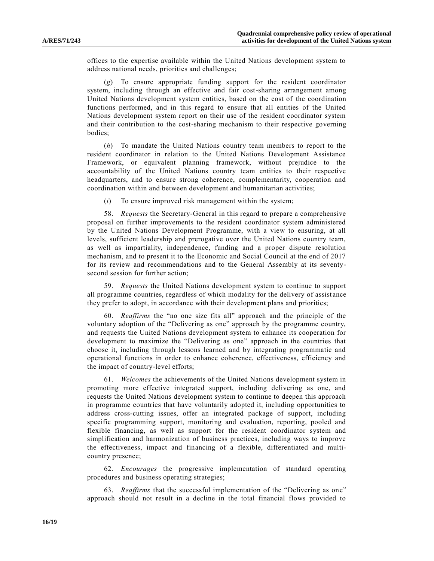offices to the expertise available within the United Nations development system to address national needs, priorities and challenges;

(*g*) To ensure appropriate funding support for the resident coordinator system, including through an effective and fair cost-sharing arrangement among United Nations development system entities, based on the cost of the coordination functions performed, and in this regard to ensure that all entities of the United Nations development system report on their use of the resident coordinator system and their contribution to the cost-sharing mechanism to their respective governing bodies;

(*h*) To mandate the United Nations country team members to report to the resident coordinator in relation to the United Nations Development Assistance Framework, or equivalent planning framework, without prejudice to the accountability of the United Nations country team entities to their respective headquarters, and to ensure strong coherence, complementarity, cooperation and coordination within and between development and humanitarian activities;

(*i*) To ensure improved risk management within the system;

58. *Requests* the Secretary-General in this regard to prepare a comprehensive proposal on further improvements to the resident coordinator system administered by the United Nations Development Programme, with a view to ensuring, at all levels, sufficient leadership and prerogative over the United Nations country team, as well as impartiality, independence, funding and a proper dispute resolution mechanism, and to present it to the Economic and Social Council at the end of 2017 for its review and recommendations and to the General Assembly at its seventysecond session for further action;

59. *Requests* the United Nations development system to continue to support all programme countries, regardless of which modality for the delivery of assist ance they prefer to adopt, in accordance with their development plans and priorities;

60. *Reaffirms* the "no one size fits all" approach and the principle of the voluntary adoption of the "Delivering as one" approach by the programme country, and requests the United Nations development system to enhance its cooperation for development to maximize the "Delivering as one" approach in the countries that choose it, including through lessons learned and by integrating programmatic and operational functions in order to enhance coherence, effectiveness, efficiency and the impact of country-level efforts;

61. *Welcomes* the achievements of the United Nations development system in promoting more effective integrated support, including delivering as one, and requests the United Nations development system to continue to deepen this approach in programme countries that have voluntarily adopted it, including opportunities to address cross-cutting issues, offer an integrated package of support, including specific programming support, monitoring and evaluation, reporting, pooled and flexible financing, as well as support for the resident coordinator system and simplification and harmonization of business practices, including ways to improve the effectiveness, impact and financing of a flexible, differentiated and multicountry presence;

62. *Encourages* the progressive implementation of standard operating procedures and business operating strategies;

63. *Reaffirms* that the successful implementation of the "Delivering as one" approach should not result in a decline in the total financial flows provided to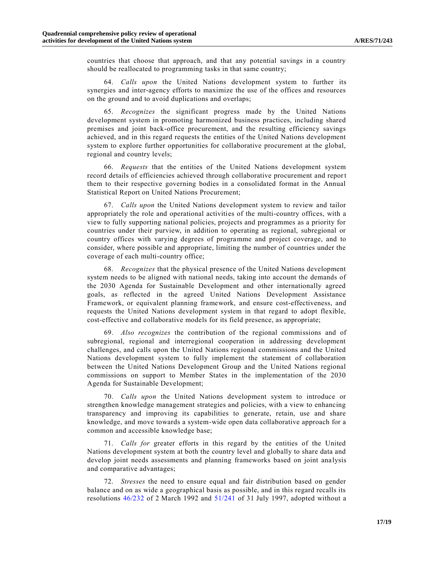countries that choose that approach, and that any potential savings in a country should be reallocated to programming tasks in that same country;

64. *Calls upon* the United Nations development system to further its synergies and inter-agency efforts to maximize the use of the offices and resources on the ground and to avoid duplications and overlaps;

65. *Recognizes* the significant progress made by the United Nations development system in promoting harmonized business practices, including shared premises and joint back-office procurement, and the resulting efficiency savings achieved, and in this regard requests the entities of the United Nations development system to explore further opportunities for collaborative procurement at the global, regional and country levels;

66. *Requests* that the entities of the United Nations development system record details of efficiencies achieved through collaborative procurement and report them to their respective governing bodies in a consolidated format in the Annual Statistical Report on United Nations Procurement;

67. *Calls upon* the United Nations development system to review and tailor appropriately the role and operational activities of the multi-country offices, with a view to fully supporting national policies, projects and programmes as a priority for countries under their purview, in addition to operating as regional, subregional or country offices with varying degrees of programme and project coverage, and to consider, where possible and appropriate, limiting the number of countries under the coverage of each multi-country office;

68. *Recognizes* that the physical presence of the United Nations development system needs to be aligned with national needs, taking into account the demands of the 2030 Agenda for Sustainable Development and other internationally agreed goals, as reflected in the agreed United Nations Development Assistance Framework, or equivalent planning framework, and ensure cost-effectiveness, and requests the United Nations development system in that regard to adopt flexible, cost-effective and collaborative models for its field presence, as appropriate;

69. *Also recognizes* the contribution of the regional commissions and of subregional, regional and interregional cooperation in addressing development challenges, and calls upon the United Nations regional commissions and the United Nations development system to fully implement the statement of collaboration between the United Nations Development Group and the United Nations regional commissions on support to Member States in the implementation of the 2030 Agenda for Sustainable Development;

70. *Calls upon* the United Nations development system to introduce or strengthen knowledge management strategies and policies, with a view to enhancing transparency and improving its capabilities to generate, retain, use and share knowledge, and move towards a system-wide open data collaborative approach for a common and accessible knowledge base;

71. *Calls for* greater efforts in this regard by the entities of the United Nations development system at both the country level and globally to share data and develop joint needs assessments and planning frameworks based on joint analysis and comparative advantages;

72. *Stresses* the need to ensure equal and fair distribution based on gender balance and on as wide a geographical basis as possible, and in this regard recalls its resolutions [46/232](http://undocs.org/A/RES/46/232) of 2 March 1992 and [51/241](http://undocs.org/A/RES/51/241) of 31 July 1997, adopted without a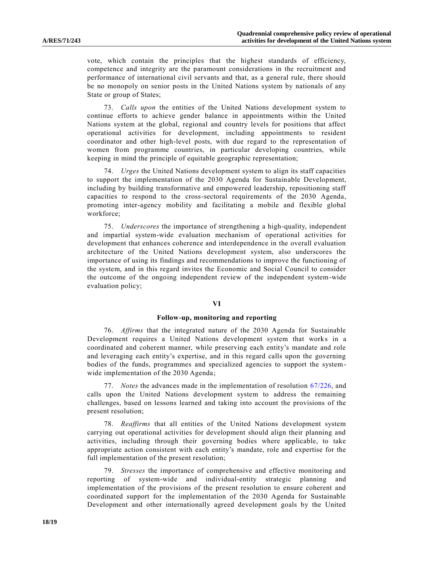vote, which contain the principles that the highest standards of efficiency, competence and integrity are the paramount considerations in the recruitment and performance of international civil servants and that, as a general rule, there should be no monopoly on senior posts in the United Nations system by nationals of any State or group of States;

73. *Calls upon* the entities of the United Nations development system to continue efforts to achieve gender balance in appointments within the United Nations system at the global, regional and country levels for positions that affect operational activities for development, including appointments to resident coordinator and other high-level posts, with due regard to the representation of women from programme countries, in particular developing countries, while keeping in mind the principle of equitable geographic representation;

74. *Urges* the United Nations development system to align its staff capacities to support the implementation of the 2030 Agenda for Sustainable Development, including by building transformative and empowered leadership, repositioning staff capacities to respond to the cross-sectoral requirements of the 2030 Agenda, promoting inter-agency mobility and facilitating a mobile and flexible global workforce;

75. *Underscores* the importance of strengthening a high-quality, independent and impartial system-wide evaluation mechanism of operational activities for development that enhances coherence and interdependence in the overall evaluation architecture of the United Nations development system, also underscores the importance of using its findings and recommendations to improve the functioning of the system, and in this regard invites the Economic and Social Council to consider the outcome of the ongoing independent review of the independent system-wide evaluation policy;

#### **VI**

#### **Follow-up, monitoring and reporting**

76. *Affirms* that the integrated nature of the 2030 Agenda for Sustainable Development requires a United Nations development system that works in a coordinated and coherent manner, while preserving each entity's mandate and role and leveraging each entity's expertise, and in this regard calls upon the governing bodies of the funds, programmes and specialized agencies to support the systemwide implementation of the 2030 Agenda;

77. *Notes* the advances made in the implementation of resolution [67/226,](http://undocs.org/A/RES/67/226) and calls upon the United Nations development system to address the remaining challenges, based on lessons learned and taking into account the provisions of the present resolution;

78. *Reaffirms* that all entities of the United Nations development system carrying out operational activities for development should align their planning and activities, including through their governing bodies where applicable, to take appropriate action consistent with each entity's mandate, role and expertise for the full implementation of the present resolution;

79. *Stresses* the importance of comprehensive and effective monitoring and reporting of system-wide and individual-entity strategic planning and implementation of the provisions of the present resolution to ensure coherent and coordinated support for the implementation of the 2030 Agenda for Sustainable Development and other internationally agreed development goals by the United